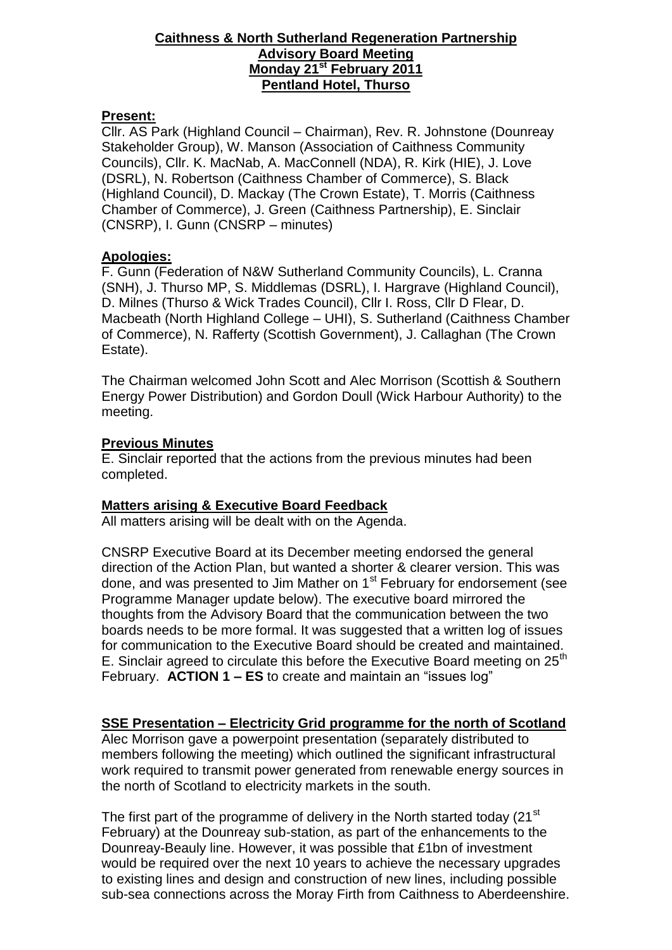#### **Caithness & North Sutherland Regeneration Partnership Advisory Board Meeting Monday 21st February 2011 Pentland Hotel, Thurso**

# **Present:**

Cllr. AS Park (Highland Council – Chairman), Rev. R. Johnstone (Dounreay Stakeholder Group), W. Manson (Association of Caithness Community Councils), Cllr. K. MacNab, A. MacConnell (NDA), R. Kirk (HIE), J. Love (DSRL), N. Robertson (Caithness Chamber of Commerce), S. Black (Highland Council), D. Mackay (The Crown Estate), T. Morris (Caithness Chamber of Commerce), J. Green (Caithness Partnership), E. Sinclair (CNSRP), I. Gunn (CNSRP – minutes)

# **Apologies:**

F. Gunn (Federation of N&W Sutherland Community Councils), L. Cranna (SNH), J. Thurso MP, S. Middlemas (DSRL), I. Hargrave (Highland Council), D. Milnes (Thurso & Wick Trades Council), Cllr I. Ross, Cllr D Flear, D. Macbeath (North Highland College – UHI), S. Sutherland (Caithness Chamber of Commerce), N. Rafferty (Scottish Government), J. Callaghan (The Crown Estate).

The Chairman welcomed John Scott and Alec Morrison (Scottish & Southern Energy Power Distribution) and Gordon Doull (Wick Harbour Authority) to the meeting.

# **Previous Minutes**

E. Sinclair reported that the actions from the previous minutes had been completed.

#### **Matters arising & Executive Board Feedback**

All matters arising will be dealt with on the Agenda.

CNSRP Executive Board at its December meeting endorsed the general direction of the Action Plan, but wanted a shorter & clearer version. This was done, and was presented to Jim Mather on  $1<sup>st</sup>$  February for endorsement (see Programme Manager update below). The executive board mirrored the thoughts from the Advisory Board that the communication between the two boards needs to be more formal. It was suggested that a written log of issues for communication to the Executive Board should be created and maintained. E. Sinclair agreed to circulate this before the Executive Board meeting on  $25<sup>th</sup>$ February. **ACTION 1 – ES** to create and maintain an "issues log"

# **SSE Presentation – Electricity Grid programme for the north of Scotland**

Alec Morrison gave a powerpoint presentation (separately distributed to members following the meeting) which outlined the significant infrastructural work required to transmit power generated from renewable energy sources in the north of Scotland to electricity markets in the south.

The first part of the programme of delivery in the North started today (21<sup>st</sup>) February) at the Dounreay sub-station, as part of the enhancements to the Dounreay-Beauly line. However, it was possible that £1bn of investment would be required over the next 10 years to achieve the necessary upgrades to existing lines and design and construction of new lines, including possible sub-sea connections across the Moray Firth from Caithness to Aberdeenshire.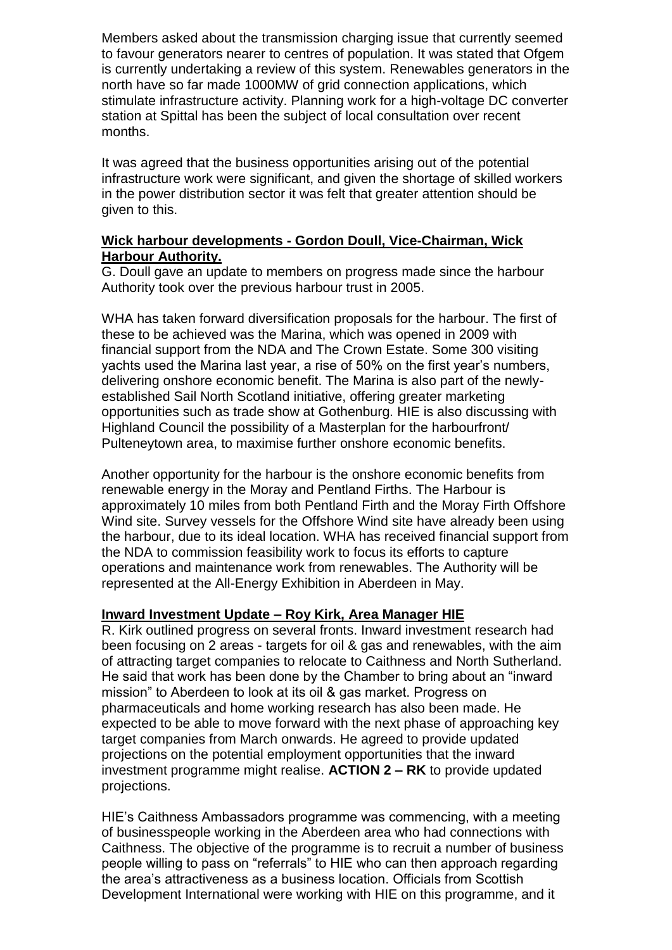Members asked about the transmission charging issue that currently seemed to favour generators nearer to centres of population. It was stated that Ofgem is currently undertaking a review of this system. Renewables generators in the north have so far made 1000MW of grid connection applications, which stimulate infrastructure activity. Planning work for a high-voltage DC converter station at Spittal has been the subject of local consultation over recent months.

It was agreed that the business opportunities arising out of the potential infrastructure work were significant, and given the shortage of skilled workers in the power distribution sector it was felt that greater attention should be given to this.

#### **Wick harbour developments - Gordon Doull, Vice-Chairman, Wick Harbour Authority.**

G. Doull gave an update to members on progress made since the harbour Authority took over the previous harbour trust in 2005.

WHA has taken forward diversification proposals for the harbour. The first of these to be achieved was the Marina, which was opened in 2009 with financial support from the NDA and The Crown Estate. Some 300 visiting yachts used the Marina last year, a rise of 50% on the first year's numbers, delivering onshore economic benefit. The Marina is also part of the newlyestablished Sail North Scotland initiative, offering greater marketing opportunities such as trade show at Gothenburg. HIE is also discussing with Highland Council the possibility of a Masterplan for the harbourfront/ Pulteneytown area, to maximise further onshore economic benefits.

Another opportunity for the harbour is the onshore economic benefits from renewable energy in the Moray and Pentland Firths. The Harbour is approximately 10 miles from both Pentland Firth and the Moray Firth Offshore Wind site. Survey vessels for the Offshore Wind site have already been using the harbour, due to its ideal location. WHA has received financial support from the NDA to commission feasibility work to focus its efforts to capture operations and maintenance work from renewables. The Authority will be represented at the All-Energy Exhibition in Aberdeen in May.

#### **Inward Investment Update – Roy Kirk, Area Manager HIE**

R. Kirk outlined progress on several fronts. Inward investment research had been focusing on 2 areas - targets for oil & gas and renewables, with the aim of attracting target companies to relocate to Caithness and North Sutherland. He said that work has been done by the Chamber to bring about an "inward mission" to Aberdeen to look at its oil & gas market. Progress on pharmaceuticals and home working research has also been made. He expected to be able to move forward with the next phase of approaching key target companies from March onwards. He agreed to provide updated projections on the potential employment opportunities that the inward investment programme might realise. **ACTION 2 – RK** to provide updated projections.

HIE's Caithness Ambassadors programme was commencing, with a meeting of businesspeople working in the Aberdeen area who had connections with Caithness. The objective of the programme is to recruit a number of business people willing to pass on "referrals" to HIE who can then approach regarding the area's attractiveness as a business location. Officials from Scottish Development International were working with HIE on this programme, and it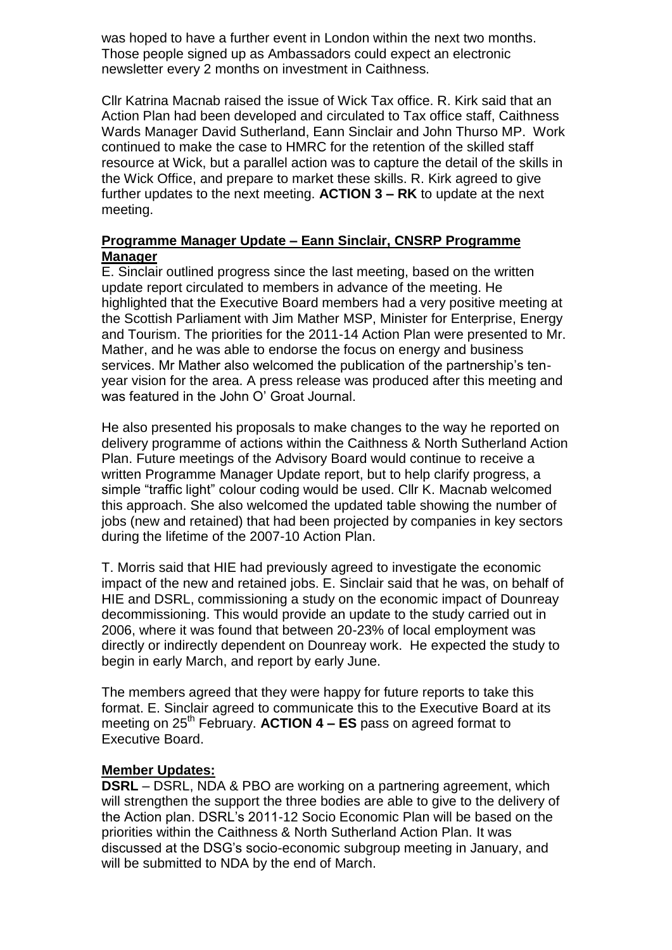was hoped to have a further event in London within the next two months. Those people signed up as Ambassadors could expect an electronic newsletter every 2 months on investment in Caithness.

Cllr Katrina Macnab raised the issue of Wick Tax office. R. Kirk said that an Action Plan had been developed and circulated to Tax office staff, Caithness Wards Manager David Sutherland, Eann Sinclair and John Thurso MP. Work continued to make the case to HMRC for the retention of the skilled staff resource at Wick, but a parallel action was to capture the detail of the skills in the Wick Office, and prepare to market these skills. R. Kirk agreed to give further updates to the next meeting. **ACTION 3 – RK** to update at the next meeting.

### **Programme Manager Update – Eann Sinclair, CNSRP Programme Manager**

E. Sinclair outlined progress since the last meeting, based on the written update report circulated to members in advance of the meeting. He highlighted that the Executive Board members had a very positive meeting at the Scottish Parliament with Jim Mather MSP, Minister for Enterprise, Energy and Tourism. The priorities for the 2011-14 Action Plan were presented to Mr. Mather, and he was able to endorse the focus on energy and business services. Mr Mather also welcomed the publication of the partnership's tenyear vision for the area. A press release was produced after this meeting and was featured in the John O' Groat Journal.

He also presented his proposals to make changes to the way he reported on delivery programme of actions within the Caithness & North Sutherland Action Plan. Future meetings of the Advisory Board would continue to receive a written Programme Manager Update report, but to help clarify progress, a simple "traffic light" colour coding would be used. Cllr K. Macnab welcomed this approach. She also welcomed the updated table showing the number of jobs (new and retained) that had been projected by companies in key sectors during the lifetime of the 2007-10 Action Plan.

T. Morris said that HIE had previously agreed to investigate the economic impact of the new and retained jobs. E. Sinclair said that he was, on behalf of HIE and DSRL, commissioning a study on the economic impact of Dounreay decommissioning. This would provide an update to the study carried out in 2006, where it was found that between 20-23% of local employment was directly or indirectly dependent on Dounreay work. He expected the study to begin in early March, and report by early June.

The members agreed that they were happy for future reports to take this format. E. Sinclair agreed to communicate this to the Executive Board at its meeting on 25<sup>th</sup> February. **ACTION 4 – ES** pass on agreed format to Executive Board.

#### **Member Updates:**

**DSRL** – DSRL, NDA & PBO are working on a partnering agreement, which will strengthen the support the three bodies are able to give to the delivery of the Action plan. DSRL's 2011-12 Socio Economic Plan will be based on the priorities within the Caithness & North Sutherland Action Plan. It was discussed at the DSG's socio-economic subgroup meeting in January, and will be submitted to NDA by the end of March.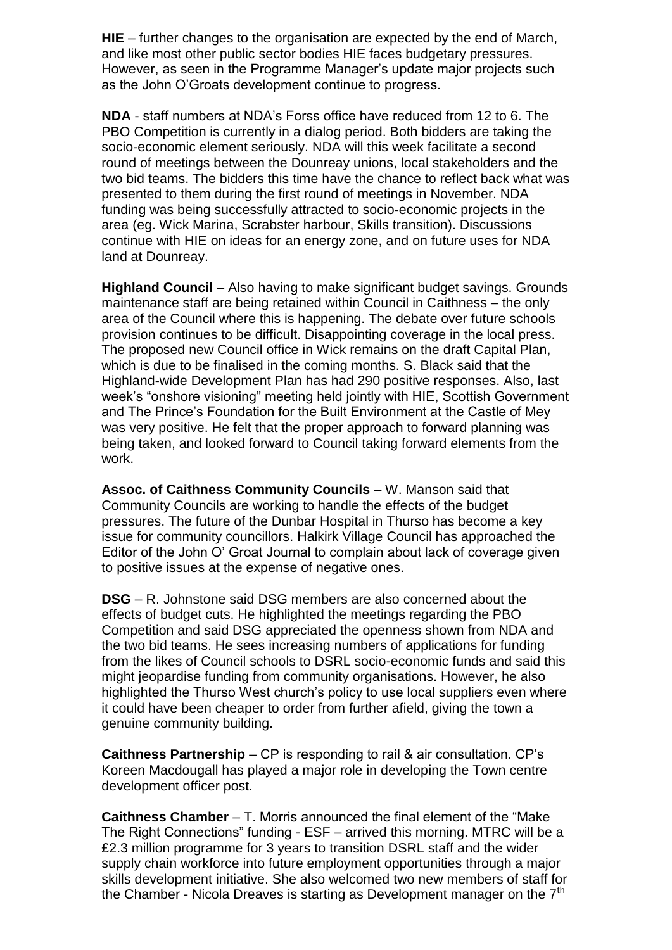**HIE** – further changes to the organisation are expected by the end of March, and like most other public sector bodies HIE faces budgetary pressures. However, as seen in the Programme Manager's update major projects such as the John O'Groats development continue to progress.

**NDA** - staff numbers at NDA's Forss office have reduced from 12 to 6. The PBO Competition is currently in a dialog period. Both bidders are taking the socio-economic element seriously. NDA will this week facilitate a second round of meetings between the Dounreay unions, local stakeholders and the two bid teams. The bidders this time have the chance to reflect back what was presented to them during the first round of meetings in November. NDA funding was being successfully attracted to socio-economic projects in the area (eg. Wick Marina, Scrabster harbour, Skills transition). Discussions continue with HIE on ideas for an energy zone, and on future uses for NDA land at Dounreay.

**Highland Council** – Also having to make significant budget savings. Grounds maintenance staff are being retained within Council in Caithness – the only area of the Council where this is happening. The debate over future schools provision continues to be difficult. Disappointing coverage in the local press. The proposed new Council office in Wick remains on the draft Capital Plan, which is due to be finalised in the coming months. S. Black said that the Highland-wide Development Plan has had 290 positive responses. Also, last week's "onshore visioning" meeting held jointly with HIE, Scottish Government and The Prince's Foundation for the Built Environment at the Castle of Mey was very positive. He felt that the proper approach to forward planning was being taken, and looked forward to Council taking forward elements from the work.

**Assoc. of Caithness Community Councils** – W. Manson said that Community Councils are working to handle the effects of the budget pressures. The future of the Dunbar Hospital in Thurso has become a key issue for community councillors. Halkirk Village Council has approached the Editor of the John O' Groat Journal to complain about lack of coverage given to positive issues at the expense of negative ones.

**DSG** – R. Johnstone said DSG members are also concerned about the effects of budget cuts. He highlighted the meetings regarding the PBO Competition and said DSG appreciated the openness shown from NDA and the two bid teams. He sees increasing numbers of applications for funding from the likes of Council schools to DSRL socio-economic funds and said this might jeopardise funding from community organisations. However, he also highlighted the Thurso West church's policy to use local suppliers even where it could have been cheaper to order from further afield, giving the town a genuine community building.

**Caithness Partnership** – CP is responding to rail & air consultation. CP's Koreen Macdougall has played a major role in developing the Town centre development officer post.

**Caithness Chamber** – T. Morris announced the final element of the "Make The Right Connections" funding - ESF – arrived this morning. MTRC will be a £2.3 million programme for 3 years to transition DSRL staff and the wider supply chain workforce into future employment opportunities through a major skills development initiative. She also welcomed two new members of staff for the Chamber - Nicola Dreaves is starting as Development manager on the  $7<sup>th</sup>$